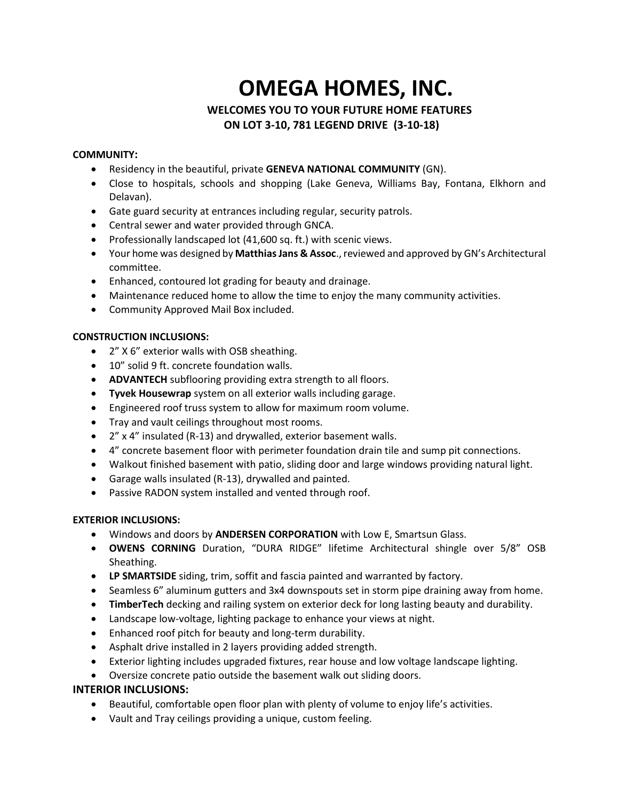# **OMEGA HOMES, INC.**

## **WELCOMES YOU TO YOUR FUTURE HOME FEATURES ON LOT 3-10, 781 LEGEND DRIVE (3-10-18)**

#### **COMMUNITY:**

- Residency in the beautiful, private **GENEVA NATIONAL COMMUNITY** (GN).
- Close to hospitals, schools and shopping (Lake Geneva, Williams Bay, Fontana, Elkhorn and Delavan).
- Gate guard security at entrances including regular, security patrols.
- Central sewer and water provided through GNCA.
- Professionally landscaped lot (41,600 sq. ft.) with scenic views.
- Your home was designed by Matthias Jans & Assoc., reviewed and approved by GN's Architectural committee.
- Enhanced, contoured lot grading for beauty and drainage.
- Maintenance reduced home to allow the time to enjoy the many community activities.
- Community Approved Mail Box included.

#### **CONSTRUCTION INCLUSIONS:**

- 2" X 6" exterior walls with OSB sheathing.
- 10" solid 9 ft. concrete foundation walls.
- **ADVANTECH** subflooring providing extra strength to all floors.
- **Tyvek Housewrap** system on all exterior walls including garage.
- Engineered roof truss system to allow for maximum room volume.
- Tray and vault ceilings throughout most rooms.
- 2" x 4" insulated (R-13) and drywalled, exterior basement walls.
- 4" concrete basement floor with perimeter foundation drain tile and sump pit connections.
- Walkout finished basement with patio, sliding door and large windows providing natural light.
- Garage walls insulated (R-13), drywalled and painted.
- Passive RADON system installed and vented through roof.

#### **EXTERIOR INCLUSIONS:**

- Windows and doors by **ANDERSEN CORPORATION** with Low E, Smartsun Glass.
- **OWENS CORNING** Duration, "DURA RIDGE" lifetime Architectural shingle over 5/8" OSB Sheathing.
- **LP SMARTSIDE** siding, trim, soffit and fascia painted and warranted by factory.
- Seamless 6" aluminum gutters and 3x4 downspouts set in storm pipe draining away from home.
- **TimberTech** decking and railing system on exterior deck for long lasting beauty and durability.
- Landscape low-voltage, lighting package to enhance your views at night.
- Enhanced roof pitch for beauty and long-term durability.
- Asphalt drive installed in 2 layers providing added strength.
- Exterior lighting includes upgraded fixtures, rear house and low voltage landscape lighting.
- Oversize concrete patio outside the basement walk out sliding doors.

## **INTERIOR INCLUSIONS:**

- Beautiful, comfortable open floor plan with plenty of volume to enjoy life's activities.
- Vault and Tray ceilings providing a unique, custom feeling.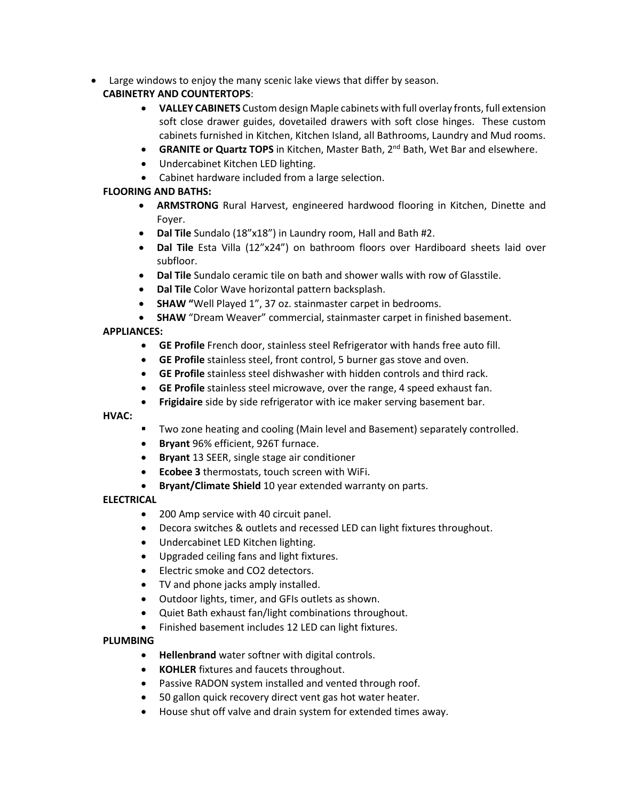• Large windows to enjoy the many scenic lake views that differ by season.

## **CABINETRY AND COUNTERTOPS**:

- **VALLEY CABINETS** Custom design Maple cabinets with full overlay fronts, full extension soft close drawer guides, dovetailed drawers with soft close hinges. These custom cabinets furnished in Kitchen, Kitchen Island, all Bathrooms, Laundry and Mud rooms.
- **GRANITE or Quartz TOPS** in Kitchen, Master Bath, 2<sup>nd</sup> Bath, Wet Bar and elsewhere.
- Undercabinet Kitchen LED lighting.
- Cabinet hardware included from a large selection.

## **FLOORING AND BATHS:**

- **ARMSTRONG** Rural Harvest, engineered hardwood flooring in Kitchen, Dinette and Foyer.
- **Dal Tile** Sundalo (18"x18") in Laundry room, Hall and Bath #2.
- **Dal Tile** Esta Villa (12"x24") on bathroom floors over Hardiboard sheets laid over subfloor.
- **Dal Tile** Sundalo ceramic tile on bath and shower walls with row of Glasstile.
- **Dal Tile** Color Wave horizontal pattern backsplash.
- **SHAW "**Well Played 1", 37 oz. stainmaster carpet in bedrooms.
- **SHAW** "Dream Weaver" commercial, stainmaster carpet in finished basement.

## **APPLIANCES:**

- **GE Profile** French door, stainless steel Refrigerator with hands free auto fill.
- **GE Profile** stainless steel, front control, 5 burner gas stove and oven.
- **GE Profile** stainless steel dishwasher with hidden controls and third rack.
- **GE Profile** stainless steel microwave, over the range, 4 speed exhaust fan.
- **Frigidaire** side by side refrigerator with ice maker serving basement bar.

**HVAC:**

- Two zone heating and cooling (Main level and Basement) separately controlled.
- **Bryant** 96% efficient, 926T furnace.
- **Bryant** 13 SEER, single stage air conditioner
- **Ecobee 3** thermostats, touch screen with WiFi.
- **Bryant/Climate Shield** 10 year extended warranty on parts.

## **ELECTRICAL**

- 200 Amp service with 40 circuit panel.
- Decora switches & outlets and recessed LED can light fixtures throughout.
- Undercabinet LED Kitchen lighting.
- Upgraded ceiling fans and light fixtures.
- Electric smoke and CO2 detectors.
- TV and phone jacks amply installed.
- Outdoor lights, timer, and GFIs outlets as shown.
- Quiet Bath exhaust fan/light combinations throughout.
- Finished basement includes 12 LED can light fixtures.

## **PLUMBING**

- **Hellenbrand** water softner with digital controls.
- **KOHLER** fixtures and faucets throughout.
- Passive RADON system installed and vented through roof.
- 50 gallon quick recovery direct vent gas hot water heater.
- House shut off valve and drain system for extended times away.